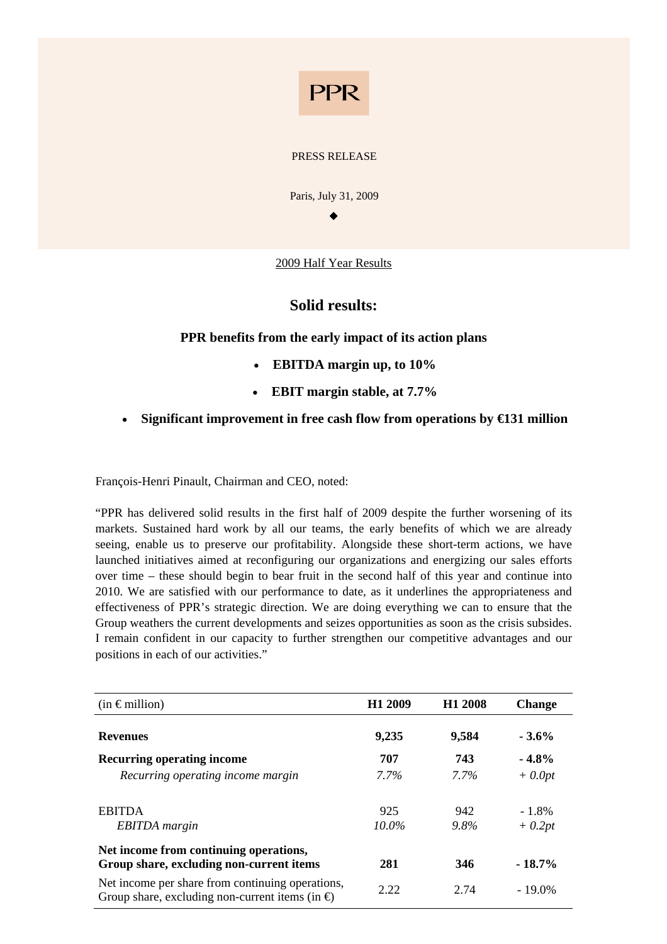# **PPR**

### PRESS RELEASE

Paris, July 31, 2009

 $\bullet$ 

2009 Half Year Results

## **Solid results:**

## **PPR benefits from the early impact of its action plans**

- **EBITDA margin up, to 10%**
- **EBIT margin stable, at 7.7%**
- **Significant improvement in free cash flow from operations by €131 million**

François-Henri Pinault, Chairman and CEO, noted:

"PPR has delivered solid results in the first half of 2009 despite the further worsening of its markets. Sustained hard work by all our teams, the early benefits of which we are already seeing, enable us to preserve our profitability. Alongside these short-term actions, we have launched initiatives aimed at reconfiguring our organizations and energizing our sales efforts over time – these should begin to bear fruit in the second half of this year and continue into 2010. We are satisfied with our performance to date, as it underlines the appropriateness and effectiveness of PPR's strategic direction. We are doing everything we can to ensure that the Group weathers the current developments and seizes opportunities as soon as the crisis subsides. I remain confident in our capacity to further strengthen our competitive advantages and our positions in each of our activities."

| $(in \in$ million)                                                                                          | H <sub>1</sub> 2009 | H <sub>1</sub> 2008 | <b>Change</b> |
|-------------------------------------------------------------------------------------------------------------|---------------------|---------------------|---------------|
| <b>Revenues</b>                                                                                             | 9,235               | 9,584               | $-3.6\%$      |
| <b>Recurring operating income</b>                                                                           | 707                 | 743                 | $-4.8\%$      |
| Recurring operating income margin                                                                           | 7.7%                | $7.7\%$             | $+$ 0.0pt     |
| <b>EBITDA</b>                                                                                               | 925                 | 942                 | $-1.8\%$      |
| <b>EBITDA</b> margin                                                                                        | 10.0%               | $9.8\%$             | $+$ 0.2pt     |
| Net income from continuing operations,<br>Group share, excluding non-current items                          | 281                 | 346                 | $-18.7\%$     |
| Net income per share from continuing operations,<br>Group share, excluding non-current items (in $\oplus$ ) | 2.22                | 2.74                | $-19.0\%$     |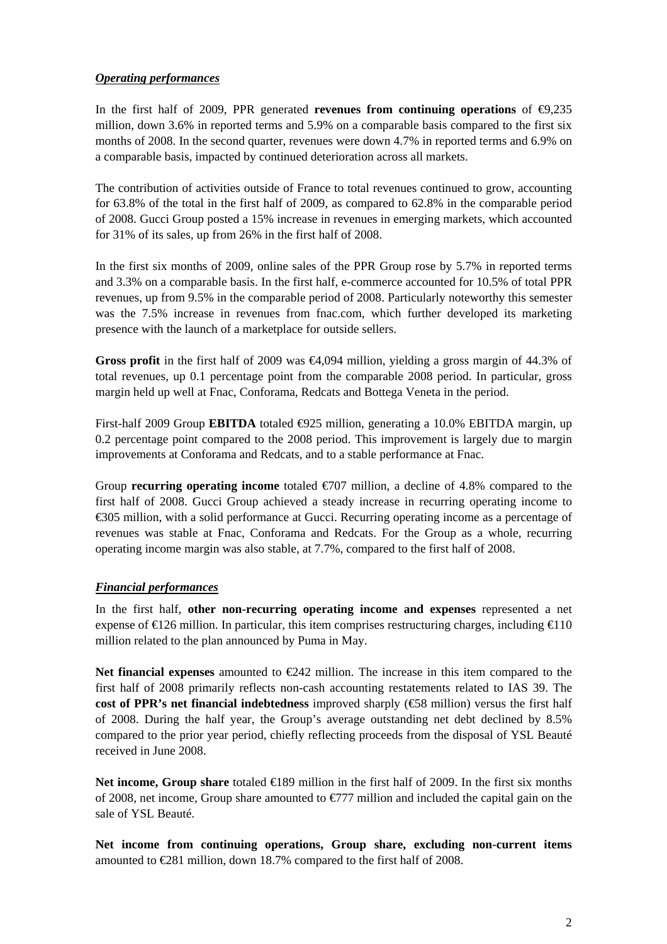## *Operating performances*

In the first half of 2009, PPR generated **revenues from continuing operations** of  $\Theta$ ,235 million, down 3.6% in reported terms and 5.9% on a comparable basis compared to the first six months of 2008. In the second quarter, revenues were down 4.7% in reported terms and 6.9% on a comparable basis, impacted by continued deterioration across all markets.

The contribution of activities outside of France to total revenues continued to grow, accounting for 63.8% of the total in the first half of 2009, as compared to 62.8% in the comparable period of 2008. Gucci Group posted a 15% increase in revenues in emerging markets, which accounted for 31% of its sales, up from 26% in the first half of 2008.

In the first six months of 2009, online sales of the PPR Group rose by 5.7% in reported terms and 3.3% on a comparable basis. In the first half, e-commerce accounted for 10.5% of total PPR revenues, up from 9.5% in the comparable period of 2008. Particularly noteworthy this semester was the 7.5% increase in revenues from fnac.com, which further developed its marketing presence with the launch of a marketplace for outside sellers.

**Gross profit** in the first half of 2009 was €4,094 million, yielding a gross margin of 44.3% of total revenues, up 0.1 percentage point from the comparable 2008 period. In particular, gross margin held up well at Fnac, Conforama, Redcats and Bottega Veneta in the period.

First-half 2009 Group **EBITDA** totaled ⊕25 million, generating a 10.0% EBITDA margin, up 0.2 percentage point compared to the 2008 period. This improvement is largely due to margin improvements at Conforama and Redcats, and to a stable performance at Fnac.

Group **recurring operating income** totaled  $\epsilon$  07 million, a decline of 4.8% compared to the first half of 2008. Gucci Group achieved a steady increase in recurring operating income to €305 million, with a solid performance at Gucci. Recurring operating income as a percentage of revenues was stable at Fnac, Conforama and Redcats. For the Group as a whole, recurring operating income margin was also stable, at 7.7%, compared to the first half of 2008.

## *Financial performances*

In the first half, **other non-recurring operating income and expenses** represented a net expense of  $\in$  26 million. In particular, this item comprises restructuring charges, including  $\in$  10 million related to the plan announced by Puma in May.

**Net financial expenses** amounted to  $\epsilon$ 242 million. The increase in this item compared to the first half of 2008 primarily reflects non-cash accounting restatements related to IAS 39. The **cost of PPR's net financial indebtedness** improved sharply (€58 million) versus the first half of 2008. During the half year, the Group's average outstanding net debt declined by 8.5% compared to the prior year period, chiefly reflecting proceeds from the disposal of YSL Beauté received in June 2008.

**Net income, Group share** totaled €189 million in the first half of 2009. In the first six months of 2008, net income, Group share amounted to €777 million and included the capital gain on the sale of YSL Beauté.

**Net income from continuing operations, Group share, excluding non-current items** amounted to €281 million, down 18.7% compared to the first half of 2008.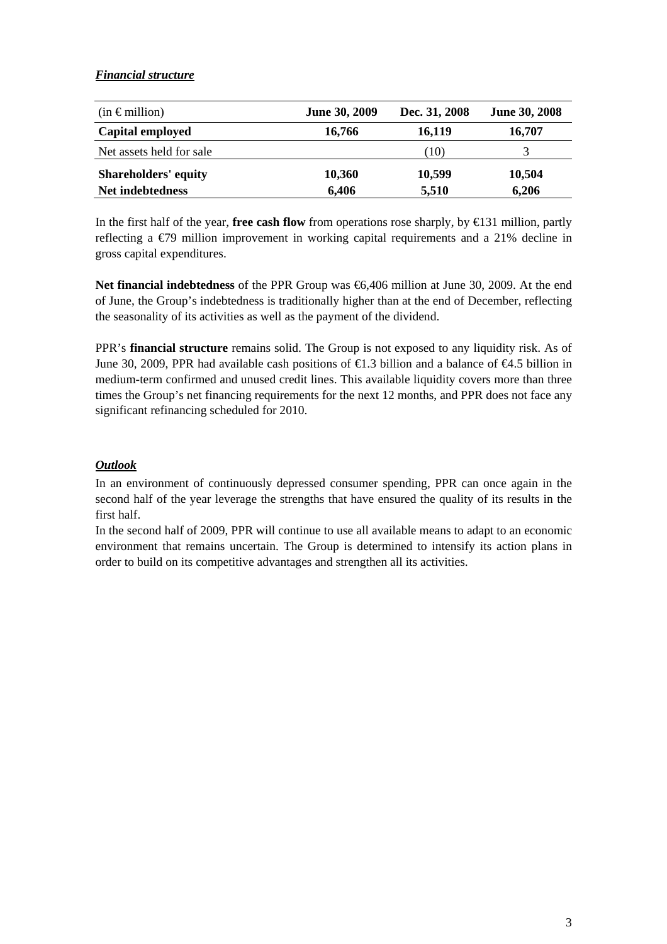## *Financial structure*

| $(in \in$ million)          | <b>June 30, 2009</b> | Dec. 31, 2008 | <b>June 30, 2008</b> |
|-----------------------------|----------------------|---------------|----------------------|
| Capital employed            | 16,766               | 16,119        | 16,707               |
| Net assets held for sale    |                      | (10)          |                      |
| <b>Shareholders' equity</b> | 10,360               | 10,599        | 10,504               |
| Net indebtedness            | 6,406                | 5,510         | 6,206                |

In the first half of the year, **free cash flow** from operations rose sharply, by €131 million, partly reflecting a €79 million improvement in working capital requirements and a 21% decline in gross capital expenditures.

Net financial indebtedness of the PPR Group was €6,406 million at June 30, 2009. At the end of June, the Group's indebtedness is traditionally higher than at the end of December, reflecting the seasonality of its activities as well as the payment of the dividend.

PPR's **financial structure** remains solid. The Group is not exposed to any liquidity risk. As of June 30, 2009, PPR had available cash positions of  $\epsilon$ 1.3 billion and a balance of  $\epsilon$ 4.5 billion in medium-term confirmed and unused credit lines. This available liquidity covers more than three times the Group's net financing requirements for the next 12 months, and PPR does not face any significant refinancing scheduled for 2010.

## *Outlook*

In an environment of continuously depressed consumer spending, PPR can once again in the second half of the year leverage the strengths that have ensured the quality of its results in the first half.

In the second half of 2009, PPR will continue to use all available means to adapt to an economic environment that remains uncertain. The Group is determined to intensify its action plans in order to build on its competitive advantages and strengthen all its activities.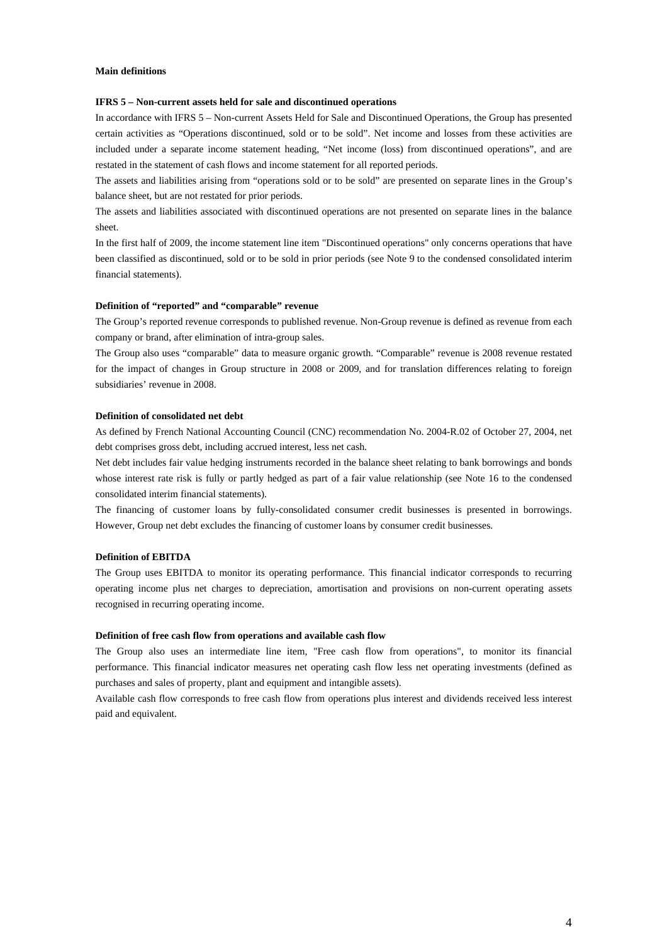#### **Main definitions**

#### **IFRS 5 – Non-current assets held for sale and discontinued operations**

In accordance with IFRS 5 – Non-current Assets Held for Sale and Discontinued Operations, the Group has presented certain activities as "Operations discontinued, sold or to be sold". Net income and losses from these activities are included under a separate income statement heading, "Net income (loss) from discontinued operations", and are restated in the statement of cash flows and income statement for all reported periods.

The assets and liabilities arising from "operations sold or to be sold" are presented on separate lines in the Group's balance sheet, but are not restated for prior periods.

The assets and liabilities associated with discontinued operations are not presented on separate lines in the balance sheet.

In the first half of 2009, the income statement line item "Discontinued operations" only concerns operations that have been classified as discontinued, sold or to be sold in prior periods (see Note 9 to the condensed consolidated interim financial statements).

#### **Definition of "reported" and "comparable" revenue**

The Group's reported revenue corresponds to published revenue. Non-Group revenue is defined as revenue from each company or brand, after elimination of intra-group sales.

The Group also uses "comparable" data to measure organic growth. "Comparable" revenue is 2008 revenue restated for the impact of changes in Group structure in 2008 or 2009, and for translation differences relating to foreign subsidiaries' revenue in 2008.

#### **Definition of consolidated net debt**

As defined by French National Accounting Council (CNC) recommendation No. 2004-R.02 of October 27, 2004, net debt comprises gross debt, including accrued interest, less net cash.

Net debt includes fair value hedging instruments recorded in the balance sheet relating to bank borrowings and bonds whose interest rate risk is fully or partly hedged as part of a fair value relationship (see Note 16 to the condensed consolidated interim financial statements).

The financing of customer loans by fully-consolidated consumer credit businesses is presented in borrowings. However, Group net debt excludes the financing of customer loans by consumer credit businesses.

#### **Definition of EBITDA**

The Group uses EBITDA to monitor its operating performance. This financial indicator corresponds to recurring operating income plus net charges to depreciation, amortisation and provisions on non-current operating assets recognised in recurring operating income.

#### **Definition of free cash flow from operations and available cash flow**

The Group also uses an intermediate line item, "Free cash flow from operations", to monitor its financial performance. This financial indicator measures net operating cash flow less net operating investments (defined as purchases and sales of property, plant and equipment and intangible assets).

Available cash flow corresponds to free cash flow from operations plus interest and dividends received less interest paid and equivalent.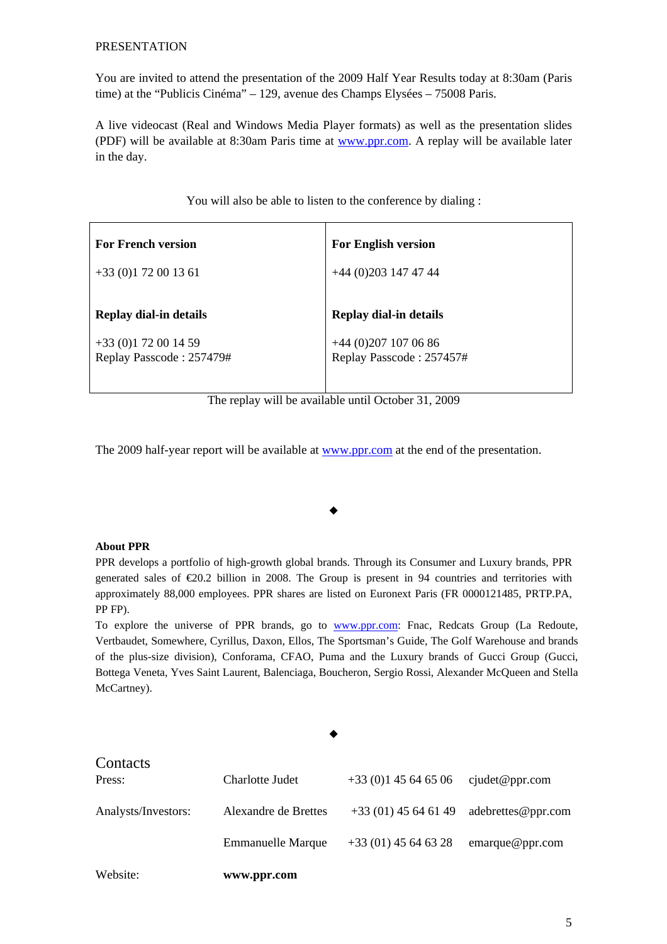### PRESENTATION

You are invited to attend the presentation of the 2009 Half Year Results today at 8:30am (Paris time) at the "Publicis Cinéma" – 129, avenue des Champs Elysées – 75008 Paris.

A live videocast (Real and Windows Media Player formats) as well as the presentation slides (PDF) will be available at 8:30am Paris time at www.ppr.com. A replay will be available later in the day.

| <b>For French version</b> | <b>For English version</b> |
|---------------------------|----------------------------|
| $+33(0)172001361$         | $+44(0)2031474744$         |
| Replay dial-in details    | Replay dial-in details     |
| $+33(0)172001459$         | +44 (0)207 107 06 86       |
| Replay Passcode: 257479#  | Replay Passcode: 257457#   |

You will also be able to listen to the conference by dialing :

The replay will be available until October 31, 2009

The 2009 half-year report will be available at www.ppr.com at the end of the presentation.

## **About PPR**

PPR develops a portfolio of high-growth global brands. Through its Consumer and Luxury brands, PPR generated sales of  $\epsilon 20.2$  billion in 2008. The Group is present in 94 countries and territories with approximately 88,000 employees. PPR shares are listed on Euronext Paris (FR 0000121485, PRTP.PA, PP FP).

 $\bullet$ 

To explore the universe of PPR brands, go to www.ppr.com: Fnac, Redcats Group (La Redoute, Vertbaudet, Somewhere, Cyrillus, Daxon, Ellos, The Sportsman's Guide, The Golf Warehouse and brands of the plus-size division), Conforama, CFAO, Puma and the Luxury brands of Gucci Group (Gucci, Bottega Veneta, Yves Saint Laurent, Balenciaga, Boucheron, Sergio Rossi, Alexander McQueen and Stella McCartney).

 $\bullet$ 

| Website:<br>www.ppr.com |                          |                       |                       |
|-------------------------|--------------------------|-----------------------|-----------------------|
|                         | <b>Emmanuelle Marque</b> | $+33(01)$ 45 64 63 28 | emarque@ppr.com       |
| Analysts/Investors:     | Alexandre de Brettes     | $+33(01)$ 45 64 61 49 | adebrettes@ppr.com    |
| Contacts<br>Press:      | Charlotte Judet          | $+33(0)145646506$     | $c\mu$ cjudet@ppr.com |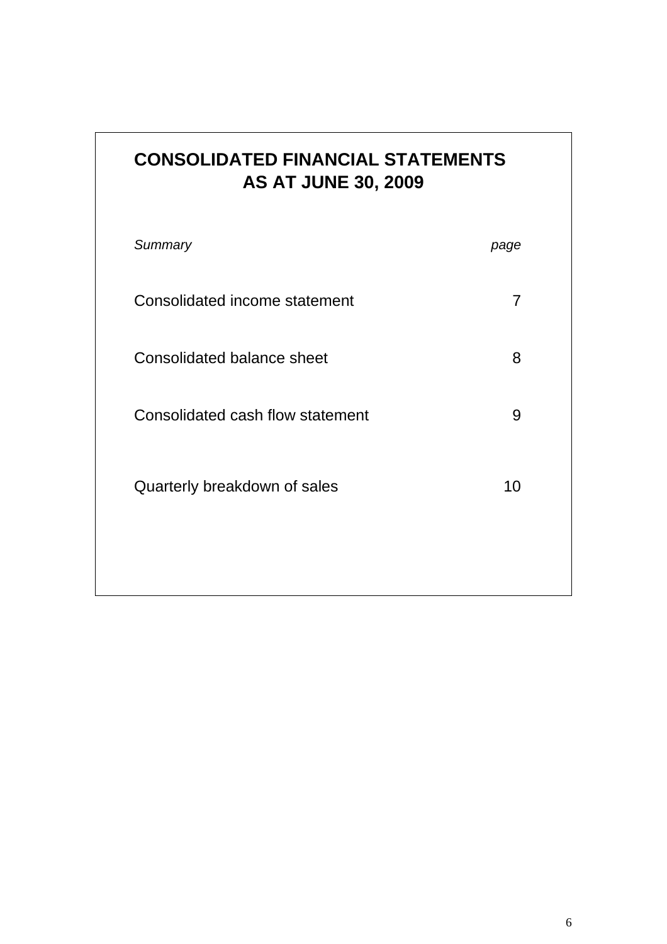| <b>CONSOLIDATED FINANCIAL STATEMENTS</b> |
|------------------------------------------|
| <b>AS AT JUNE 30, 2009</b>               |

| Summary                           | page |
|-----------------------------------|------|
| Consolidated income statement     | 7    |
| <b>Consolidated balance sheet</b> | 8    |
| Consolidated cash flow statement  | 9    |
| Quarterly breakdown of sales      | 10   |
|                                   |      |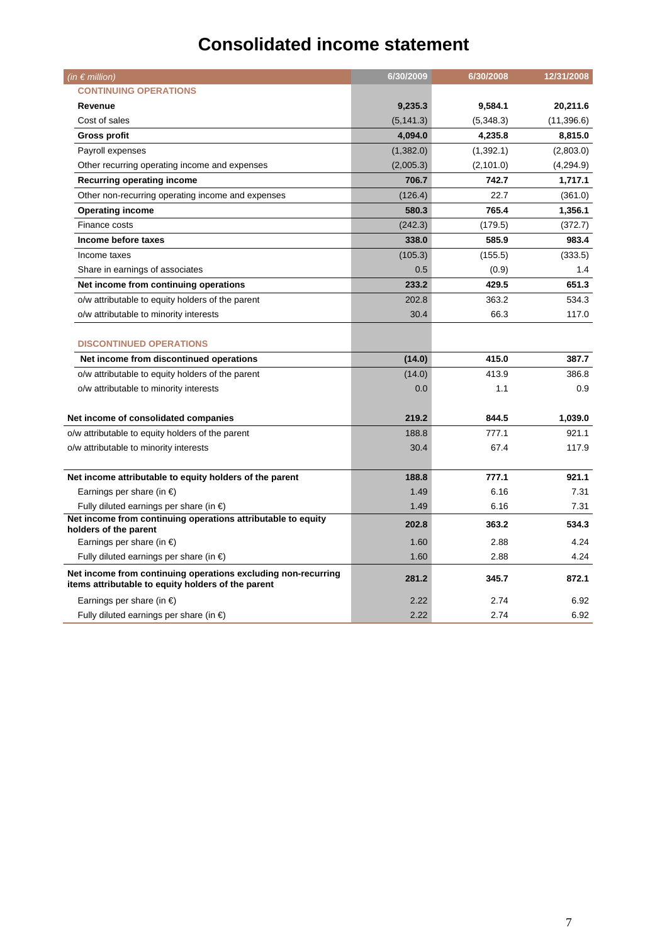## **Consolidated income statement**

| (in $\epsilon$ million)                                                                                             | 6/30/2009  | 6/30/2008  | 12/31/2008  |
|---------------------------------------------------------------------------------------------------------------------|------------|------------|-------------|
| <b>CONTINUING OPERATIONS</b>                                                                                        |            |            |             |
| Revenue                                                                                                             | 9,235.3    | 9,584.1    | 20,211.6    |
| Cost of sales                                                                                                       | (5, 141.3) | (5,348.3)  | (11, 396.6) |
| <b>Gross profit</b>                                                                                                 | 4,094.0    | 4,235.8    | 8,815.0     |
| Payroll expenses                                                                                                    | (1,382.0)  | (1,392.1)  | (2,803.0)   |
| Other recurring operating income and expenses                                                                       | (2,005.3)  | (2, 101.0) | (4,294.9)   |
| <b>Recurring operating income</b>                                                                                   | 706.7      | 742.7      | 1,717.1     |
| Other non-recurring operating income and expenses                                                                   | (126.4)    | 22.7       | (361.0)     |
| <b>Operating income</b>                                                                                             | 580.3      | 765.4      | 1,356.1     |
| Finance costs                                                                                                       | (242.3)    | (179.5)    | (372.7)     |
| Income before taxes                                                                                                 | 338.0      | 585.9      | 983.4       |
| Income taxes                                                                                                        | (105.3)    | (155.5)    | (333.5)     |
| Share in earnings of associates                                                                                     | 0.5        | (0.9)      | 1.4         |
| Net income from continuing operations                                                                               | 233.2      | 429.5      | 651.3       |
| o/w attributable to equity holders of the parent                                                                    | 202.8      | 363.2      | 534.3       |
| o/w attributable to minority interests                                                                              | 30.4       | 66.3       | 117.0       |
| <b>DISCONTINUED OPERATIONS</b>                                                                                      |            |            |             |
| Net income from discontinued operations                                                                             | (14.0)     | 415.0      | 387.7       |
| o/w attributable to equity holders of the parent                                                                    | (14.0)     | 413.9      | 386.8       |
| o/w attributable to minority interests                                                                              | 0.0        | 1.1        | 0.9         |
| Net income of consolidated companies                                                                                | 219.2      | 844.5      | 1,039.0     |
| o/w attributable to equity holders of the parent                                                                    | 188.8      | 777.1      | 921.1       |
| o/w attributable to minority interests                                                                              | 30.4       | 67.4       | 117.9       |
|                                                                                                                     |            |            |             |
| Net income attributable to equity holders of the parent                                                             | 188.8      | 777.1      | 921.1       |
| Earnings per share (in $\epsilon$ )                                                                                 | 1.49       | 6.16       | 7.31        |
| Fully diluted earnings per share (in $\epsilon$ )                                                                   | 1.49       | 6.16       | 7.31        |
| Net income from continuing operations attributable to equity<br>holders of the parent                               | 202.8      | 363.2      | 534.3       |
| Earnings per share (in $\epsilon$ )                                                                                 | 1.60       | 2.88       | 4.24        |
| Fully diluted earnings per share (in $\epsilon$ )                                                                   | 1.60       | 2.88       | 4.24        |
| Net income from continuing operations excluding non-recurring<br>items attributable to equity holders of the parent | 281.2      | 345.7      | 872.1       |
| Earnings per share (in $\epsilon$ )                                                                                 | 2.22       | 2.74       | 6.92        |
| Fully diluted earnings per share (in €)                                                                             | 2.22       | 2.74       | 6.92        |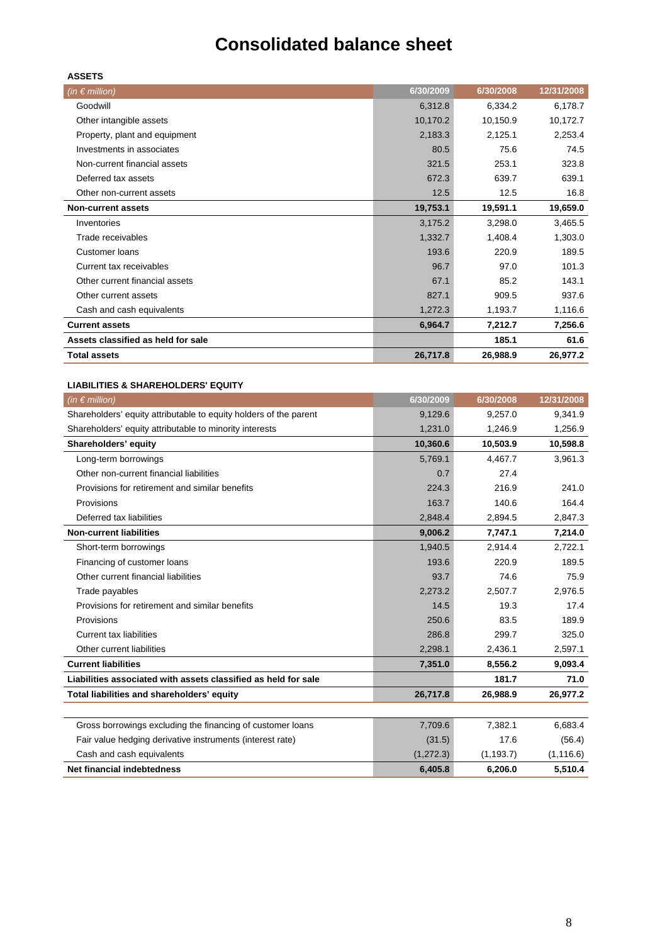## **Consolidated balance sheet**

| . .<br>۰<br>×<br>I |
|--------------------|
|--------------------|

| (in $\epsilon$ million)            | 6/30/2009 | 6/30/2008 | 12/31/2008 |
|------------------------------------|-----------|-----------|------------|
| Goodwill                           | 6,312.8   | 6,334.2   | 6,178.7    |
| Other intangible assets            | 10,170.2  | 10,150.9  | 10,172.7   |
| Property, plant and equipment      | 2,183.3   | 2,125.1   | 2,253.4    |
| Investments in associates          | 80.5      | 75.6      | 74.5       |
| Non-current financial assets       | 321.5     | 253.1     | 323.8      |
| Deferred tax assets                | 672.3     | 639.7     | 639.1      |
| Other non-current assets           | 12.5      | 12.5      | 16.8       |
| <b>Non-current assets</b>          | 19,753.1  | 19,591.1  | 19,659.0   |
| Inventories                        | 3,175.2   | 3,298.0   | 3,465.5    |
| Trade receivables                  | 1,332.7   | 1,408.4   | 1,303.0    |
| Customer loans                     | 193.6     | 220.9     | 189.5      |
| Current tax receivables            | 96.7      | 97.0      | 101.3      |
| Other current financial assets     | 67.1      | 85.2      | 143.1      |
| Other current assets               | 827.1     | 909.5     | 937.6      |
| Cash and cash equivalents          | 1,272.3   | 1,193.7   | 1,116.6    |
| <b>Current assets</b>              | 6,964.7   | 7,212.7   | 7,256.6    |
| Assets classified as held for sale |           | 185.1     | 61.6       |
| <b>Total assets</b>                | 26,717.8  | 26,988.9  | 26,977.2   |

#### **LIABILITIES & SHAREHOLDERS' EQUITY**

| (in $\epsilon$ million)                                           | 6/30/2009  | 6/30/2008  | 12/31/2008 |
|-------------------------------------------------------------------|------------|------------|------------|
| Shareholders' equity attributable to equity holders of the parent | 9,129.6    | 9.257.0    | 9,341.9    |
| Shareholders' equity attributable to minority interests           | 1,231.0    | 1,246.9    | 1,256.9    |
| Shareholders' equity                                              | 10,360.6   | 10,503.9   | 10,598.8   |
| Long-term borrowings                                              | 5,769.1    | 4,467.7    | 3,961.3    |
| Other non-current financial liabilities                           | 0.7        | 27.4       |            |
| Provisions for retirement and similar benefits                    | 224.3      | 216.9      | 241.0      |
| Provisions                                                        | 163.7      | 140.6      | 164.4      |
| Deferred tax liabilities                                          | 2,848.4    | 2,894.5    | 2,847.3    |
| <b>Non-current liabilities</b>                                    | 9,006.2    | 7,747.1    | 7,214.0    |
| Short-term borrowings                                             | 1,940.5    | 2,914.4    | 2,722.1    |
| Financing of customer loans                                       | 193.6      | 220.9      | 189.5      |
| Other current financial liabilities                               | 93.7       | 74.6       | 75.9       |
| Trade payables                                                    | 2,273.2    | 2,507.7    | 2,976.5    |
| Provisions for retirement and similar benefits                    | 14.5       | 19.3       | 17.4       |
| Provisions                                                        | 250.6      | 83.5       | 189.9      |
| <b>Current tax liabilities</b>                                    | 286.8      | 299.7      | 325.0      |
| Other current liabilities                                         | 2,298.1    | 2,436.1    | 2,597.1    |
| <b>Current liabilities</b>                                        | 7,351.0    | 8,556.2    | 9,093.4    |
| Liabilities associated with assets classified as held for sale    |            | 181.7      | 71.0       |
| Total liabilities and shareholders' equity                        | 26,717.8   | 26,988.9   | 26,977.2   |
|                                                                   |            |            |            |
| Gross borrowings excluding the financing of customer loans        | 7,709.6    | 7,382.1    | 6,683.4    |
| Fair value hedging derivative instruments (interest rate)         | (31.5)     | 17.6       | (56.4)     |
| Cash and cash equivalents                                         | (1, 272.3) | (1, 193.7) | (1, 116.6) |
| <b>Net financial indebtedness</b>                                 | 6.405.8    | 6.206.0    | 5,510.4    |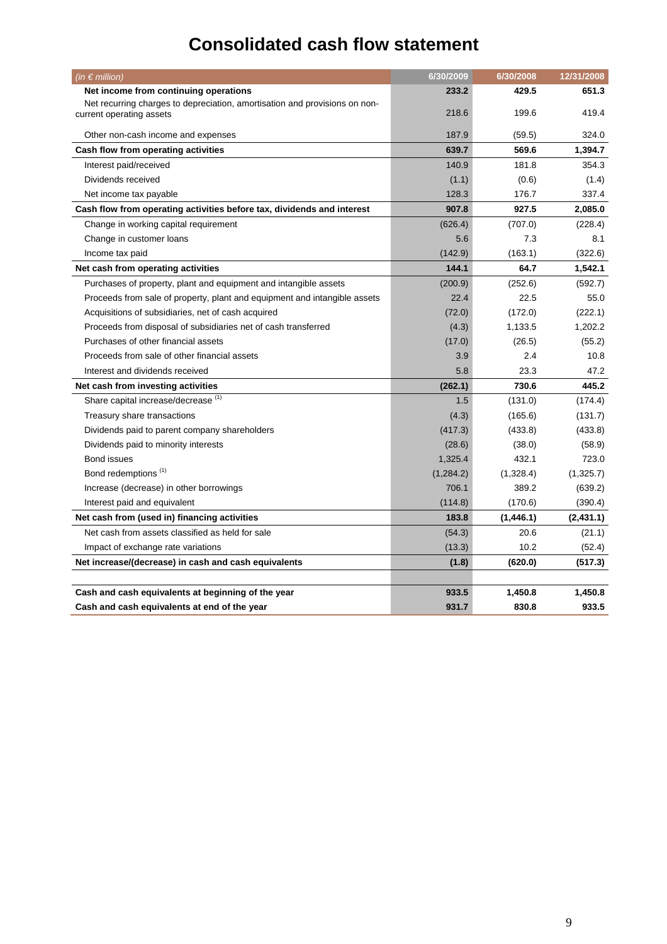## **Consolidated cash flow statement**

| (in $\epsilon$ million)                                                    | 6/30/2009 | 6/30/2008 | 12/31/2008 |
|----------------------------------------------------------------------------|-----------|-----------|------------|
| Net income from continuing operations                                      | 233.2     | 429.5     | 651.3      |
| Net recurring charges to depreciation, amortisation and provisions on non- |           |           |            |
| current operating assets                                                   | 218.6     | 199.6     | 419.4      |
| Other non-cash income and expenses                                         | 187.9     | (59.5)    | 324.0      |
| Cash flow from operating activities                                        | 639.7     | 569.6     | 1,394.7    |
| Interest paid/received                                                     | 140.9     | 181.8     | 354.3      |
| Dividends received                                                         | (1.1)     | (0.6)     | (1.4)      |
| Net income tax payable                                                     | 128.3     | 176.7     | 337.4      |
| Cash flow from operating activities before tax, dividends and interest     | 907.8     | 927.5     | 2,085.0    |
| Change in working capital requirement                                      | (626.4)   | (707.0)   | (228.4)    |
| Change in customer loans                                                   | 5.6       | 7.3       | 8.1        |
| Income tax paid                                                            | (142.9)   | (163.1)   | (322.6)    |
| Net cash from operating activities                                         | 144.1     | 64.7      | 1,542.1    |
| Purchases of property, plant and equipment and intangible assets           | (200.9)   | (252.6)   | (592.7)    |
| Proceeds from sale of property, plant and equipment and intangible assets  | 22.4      | 22.5      | 55.0       |
| Acquisitions of subsidiaries, net of cash acquired                         | (72.0)    | (172.0)   | (222.1)    |
| Proceeds from disposal of subsidiaries net of cash transferred             | (4.3)     | 1,133.5   | 1,202.2    |
| Purchases of other financial assets                                        | (17.0)    | (26.5)    | (55.2)     |
| Proceeds from sale of other financial assets                               | 3.9       | 2.4       | 10.8       |
| Interest and dividends received                                            | 5.8       | 23.3      | 47.2       |
| Net cash from investing activities                                         | (262.1)   | 730.6     | 445.2      |
| Share capital increase/decrease <sup>(1)</sup>                             | 1.5       | (131.0)   | (174.4)    |
| Treasury share transactions                                                | (4.3)     | (165.6)   | (131.7)    |
| Dividends paid to parent company shareholders                              | (417.3)   | (433.8)   | (433.8)    |
| Dividends paid to minority interests                                       | (28.6)    | (38.0)    | (58.9)     |
| Bond issues                                                                | 1,325.4   | 432.1     | 723.0      |
| Bond redemptions <sup>(1)</sup>                                            | (1,284.2) | (1,328.4) | (1,325.7)  |
| Increase (decrease) in other borrowings                                    | 706.1     | 389.2     | (639.2)    |
| Interest paid and equivalent                                               | (114.8)   | (170.6)   | (390.4)    |
| Net cash from (used in) financing activities                               | 183.8     | (1,446.1) | (2, 431.1) |
| Net cash from assets classified as held for sale                           | (54.3)    | 20.6      | (21.1)     |
| Impact of exchange rate variations                                         | (13.3)    | 10.2      | (52.4)     |
| Net increase/(decrease) in cash and cash equivalents                       | (1.8)     | (620.0)   | (517.3)    |
|                                                                            |           |           |            |
| Cash and cash equivalents at beginning of the year                         | 933.5     | 1,450.8   | 1,450.8    |
| Cash and cash equivalents at end of the year                               | 931.7     | 830.8     | 933.5      |